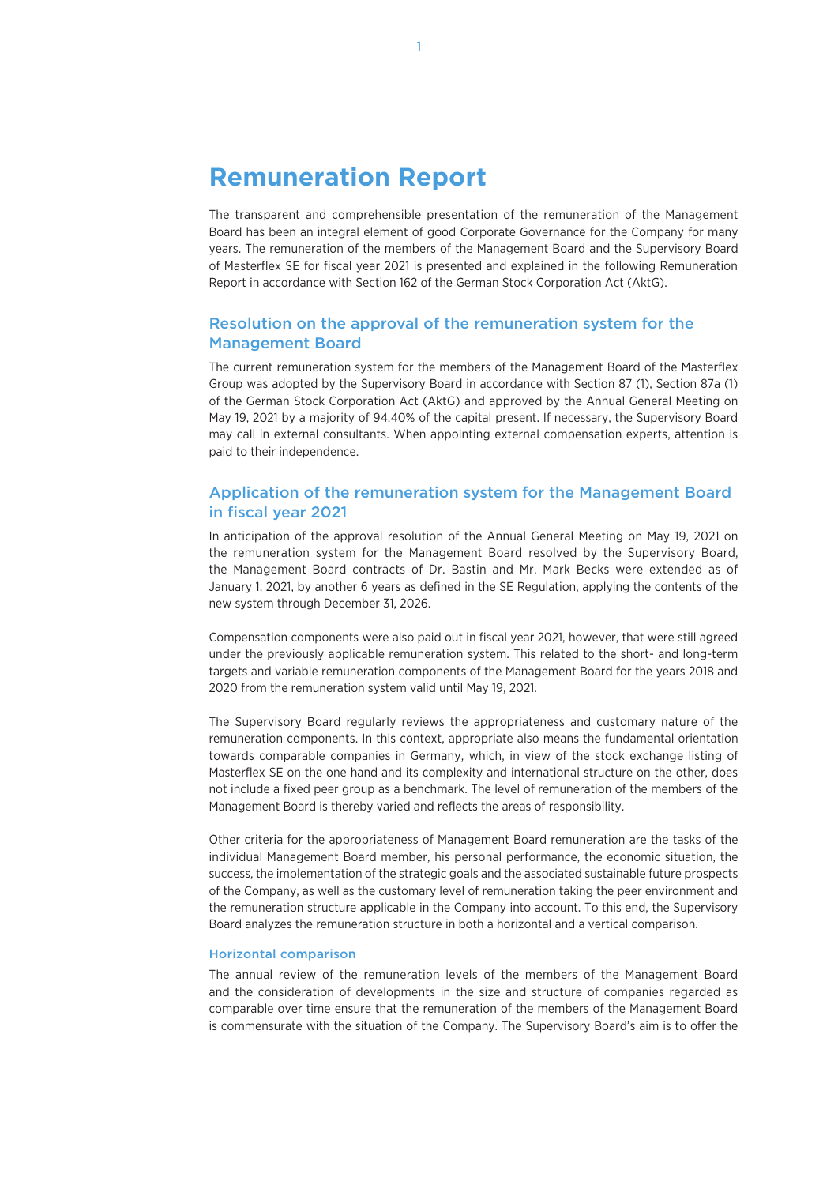# **Remuneration Report**

The transparent and comprehensible presentation of the remuneration of the Management Board has been an integral element of good Corporate Governance for the Company for many years. The remuneration of the members of the Management Board and the Supervisory Board of Masterflex SE for fiscal year 2021 is presented and explained in the following Remuneration Report in accordance with Section 162 of the German Stock Corporation Act (AktG).

# Resolution on the approval of the remuneration system for the Management Board

The current remuneration system for the members of the Management Board of the Masterflex Group was adopted by the Supervisory Board in accordance with Section 87 (1), Section 87a (1) of the German Stock Corporation Act (AktG) and approved by the Annual General Meeting on May 19, 2021 by a majority of 94.40% of the capital present. If necessary, the Supervisory Board may call in external consultants. When appointing external compensation experts, attention is paid to their independence.

# Application of the remuneration system for the Management Board in fiscal year 2021

In anticipation of the approval resolution of the Annual General Meeting on May 19, 2021 on the remuneration system for the Management Board resolved by the Supervisory Board, the Management Board contracts of Dr. Bastin and Mr. Mark Becks were extended as of January 1, 2021, by another 6 years as defined in the SE Regulation, applying the contents of the new system through December 31, 2026.

Compensation components were also paid out in fiscal year 2021, however, that were still agreed under the previously applicable remuneration system. This related to the short- and long-term targets and variable remuneration components of the Management Board for the years 2018 and 2020 from the remuneration system valid until May 19, 2021.

The Supervisory Board regularly reviews the appropriateness and customary nature of the remuneration components. In this context, appropriate also means the fundamental orientation towards comparable companies in Germany, which, in view of the stock exchange listing of Masterflex SE on the one hand and its complexity and international structure on the other, does not include a fixed peer group as a benchmark. The level of remuneration of the members of the Management Board is thereby varied and reflects the areas of responsibility.

Other criteria for the appropriateness of Management Board remuneration are the tasks of the individual Management Board member, his personal performance, the economic situation, the success, the implementation of the strategic goals and the associated sustainable future prospects of the Company, as well as the customary level of remuneration taking the peer environment and the remuneration structure applicable in the Company into account. To this end, the Supervisory Board analyzes the remuneration structure in both a horizontal and a vertical comparison.

#### Horizontal comparison

The annual review of the remuneration levels of the members of the Management Board and the consideration of developments in the size and structure of companies regarded as comparable over time ensure that the remuneration of the members of the Management Board is commensurate with the situation of the Company. The Supervisory Board's aim is to offer the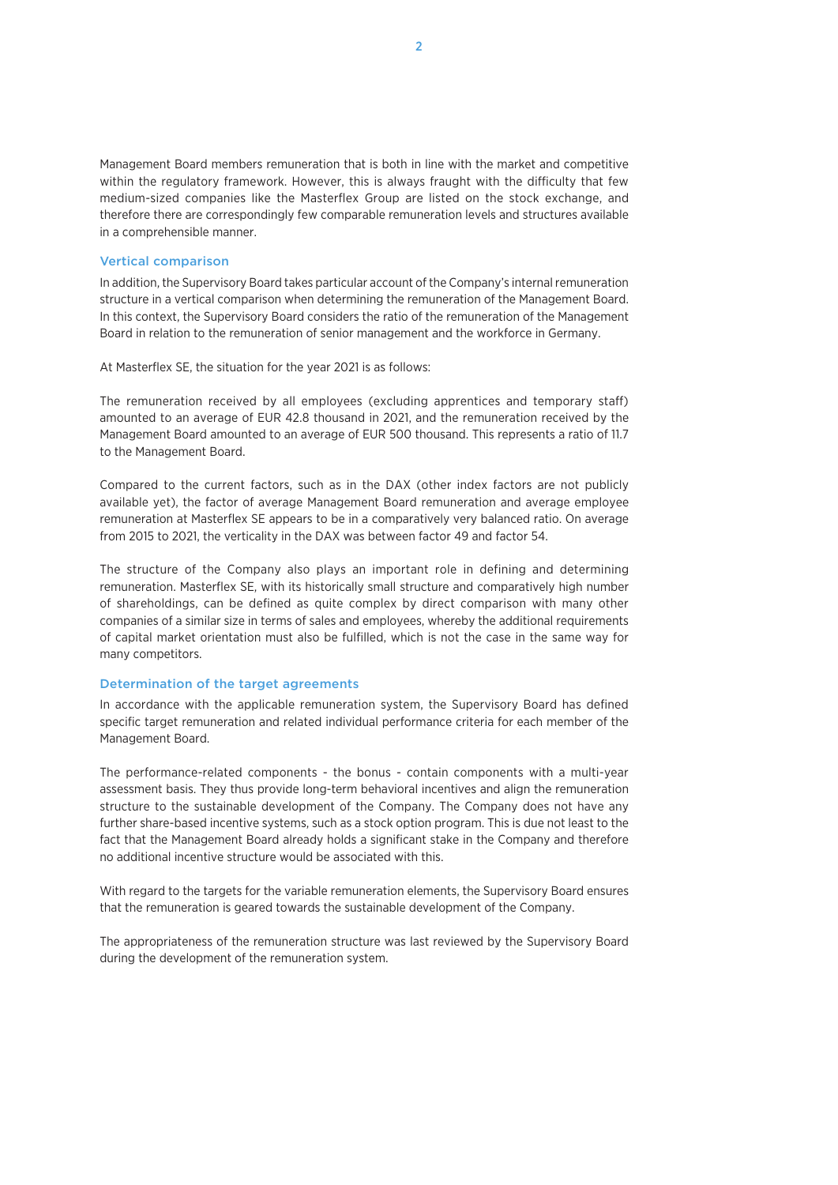Management Board members remuneration that is both in line with the market and competitive within the regulatory framework. However, this is always fraught with the difficulty that few medium-sized companies like the Masterflex Group are listed on the stock exchange, and therefore there are correspondingly few comparable remuneration levels and structures available in a comprehensible manner.

#### Vertical comparison

In addition, the Supervisory Board takes particular account of the Company's internal remuneration structure in a vertical comparison when determining the remuneration of the Management Board. In this context, the Supervisory Board considers the ratio of the remuneration of the Management Board in relation to the remuneration of senior management and the workforce in Germany.

At Masterflex SE, the situation for the year 2021 is as follows:

The remuneration received by all employees (excluding apprentices and temporary staff) amounted to an average of EUR 42.8 thousand in 2021, and the remuneration received by the Management Board amounted to an average of EUR 500 thousand. This represents a ratio of 11.7 to the Management Board.

Compared to the current factors, such as in the DAX (other index factors are not publicly available yet), the factor of average Management Board remuneration and average employee remuneration at Masterflex SE appears to be in a comparatively very balanced ratio. On average from 2015 to 2021, the verticality in the DAX was between factor 49 and factor 54.

The structure of the Company also plays an important role in defining and determining remuneration. Masterflex SE, with its historically small structure and comparatively high number of shareholdings, can be defined as quite complex by direct comparison with many other companies of a similar size in terms of sales and employees, whereby the additional requirements of capital market orientation must also be fulfilled, which is not the case in the same way for many competitors.

#### Determination of the target agreements

In accordance with the applicable remuneration system, the Supervisory Board has defined specific target remuneration and related individual performance criteria for each member of the Management Board.

The performance-related components - the bonus - contain components with a multi-year assessment basis. They thus provide long-term behavioral incentives and align the remuneration structure to the sustainable development of the Company. The Company does not have any further share-based incentive systems, such as a stock option program. This is due not least to the fact that the Management Board already holds a significant stake in the Company and therefore no additional incentive structure would be associated with this.

With regard to the targets for the variable remuneration elements, the Supervisory Board ensures that the remuneration is geared towards the sustainable development of the Company.

The appropriateness of the remuneration structure was last reviewed by the Supervisory Board during the development of the remuneration system.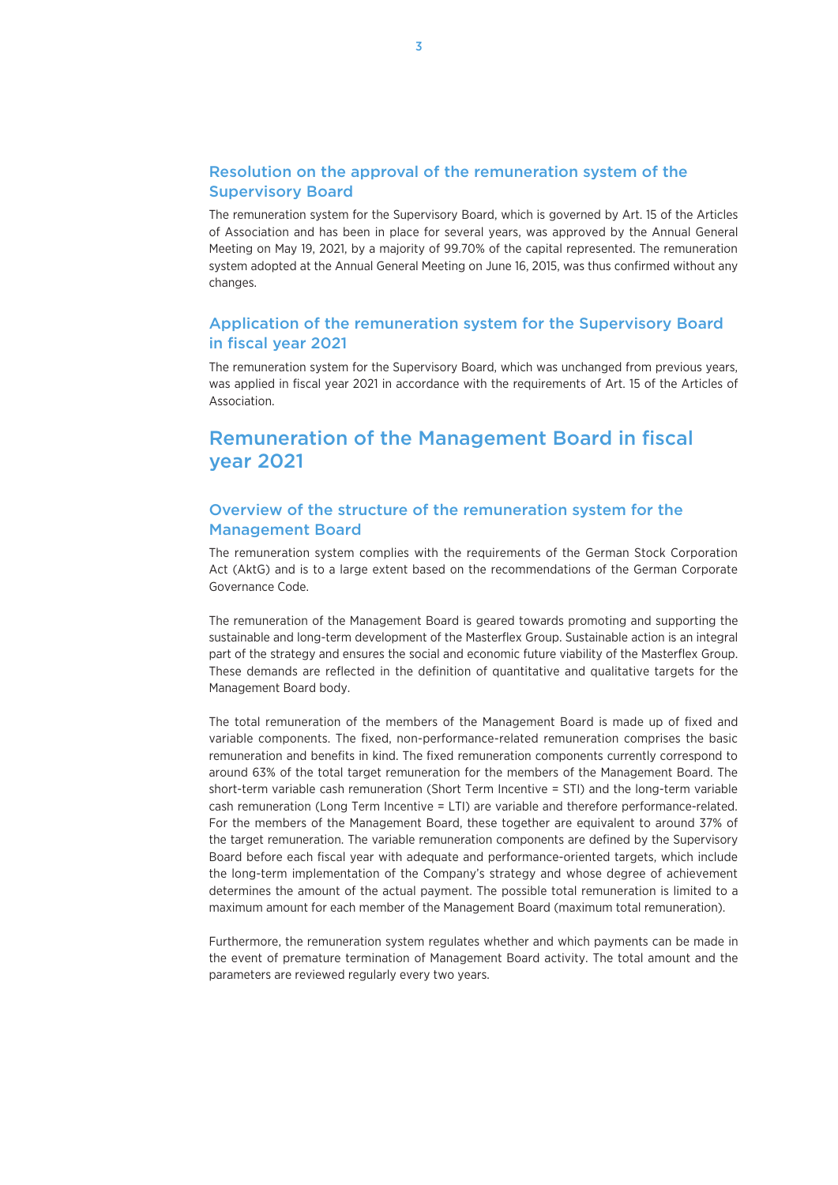# Resolution on the approval of the remuneration system of the Supervisory Board

The remuneration system for the Supervisory Board, which is governed by Art. 15 of the Articles of Association and has been in place for several years, was approved by the Annual General Meeting on May 19, 2021, by a majority of 99.70% of the capital represented. The remuneration system adopted at the Annual General Meeting on June 16, 2015, was thus confirmed without any changes.

# Application of the remuneration system for the Supervisory Board in fiscal year 2021

The remuneration system for the Supervisory Board, which was unchanged from previous years, was applied in fiscal year 2021 in accordance with the requirements of Art. 15 of the Articles of Association.

# Remuneration of the Management Board in fiscal year 2021

# Overview of the structure of the remuneration system for the Management Board

The remuneration system complies with the requirements of the German Stock Corporation Act (AktG) and is to a large extent based on the recommendations of the German Corporate Governance Code.

The remuneration of the Management Board is geared towards promoting and supporting the sustainable and long-term development of the Masterflex Group. Sustainable action is an integral part of the strategy and ensures the social and economic future viability of the Masterflex Group. These demands are reflected in the definition of quantitative and qualitative targets for the Management Board body.

The total remuneration of the members of the Management Board is made up of fixed and variable components. The fixed, non-performance-related remuneration comprises the basic remuneration and benefits in kind. The fixed remuneration components currently correspond to around 63% of the total target remuneration for the members of the Management Board. The short-term variable cash remuneration (Short Term Incentive = STI) and the long-term variable cash remuneration (Long Term Incentive = LTI) are variable and therefore performance-related. For the members of the Management Board, these together are equivalent to around 37% of the target remuneration. The variable remuneration components are defined by the Supervisory Board before each fiscal year with adequate and performance-oriented targets, which include the long-term implementation of the Company's strategy and whose degree of achievement determines the amount of the actual payment. The possible total remuneration is limited to a maximum amount for each member of the Management Board (maximum total remuneration).

Furthermore, the remuneration system regulates whether and which payments can be made in the event of premature termination of Management Board activity. The total amount and the parameters are reviewed regularly every two years.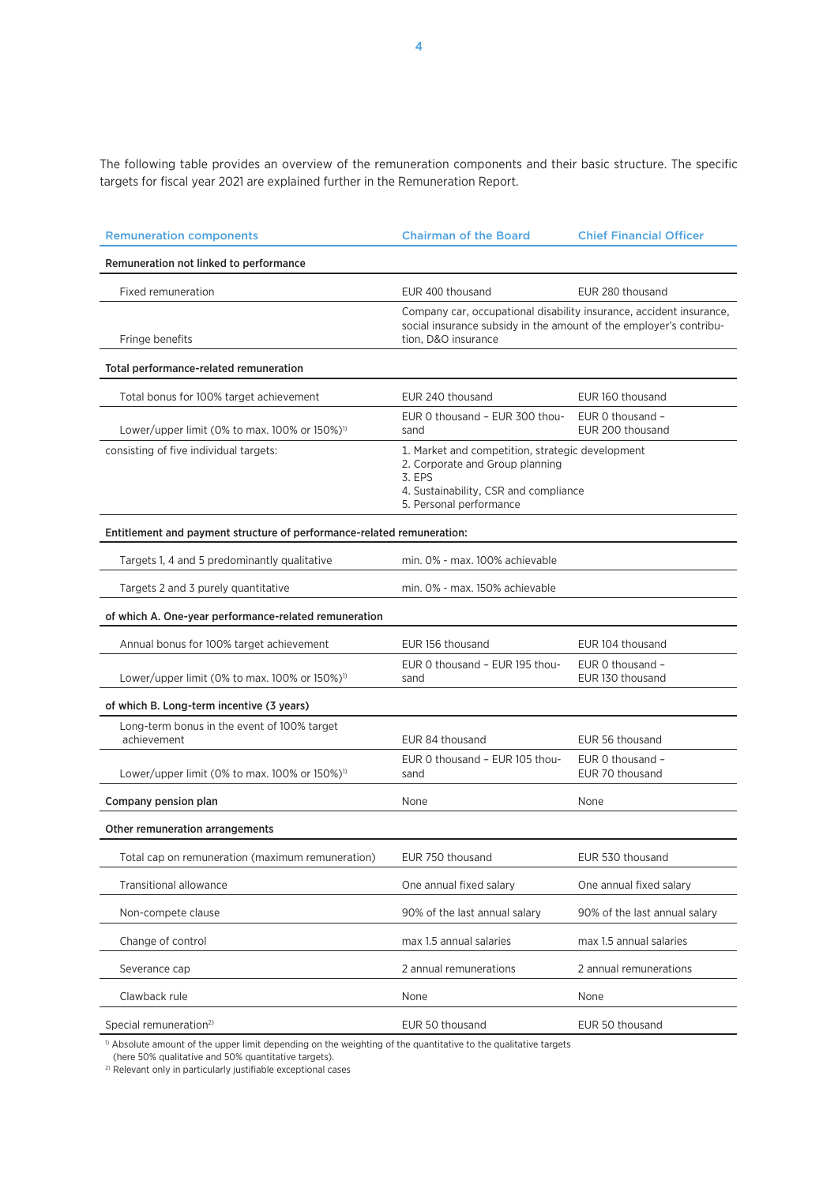The following table provides an overview of the remuneration components and their basic structure. The specific targets for fiscal year 2021 are explained further in the Remuneration Report.

| <b>Remuneration components</b>                                         | <b>Chairman of the Board</b>                                                                                                                                      | <b>Chief Financial Officer</b>       |  |  |
|------------------------------------------------------------------------|-------------------------------------------------------------------------------------------------------------------------------------------------------------------|--------------------------------------|--|--|
| Remuneration not linked to performance                                 |                                                                                                                                                                   |                                      |  |  |
| Fixed remuneration                                                     | EUR 400 thousand                                                                                                                                                  | EUR 280 thousand                     |  |  |
| Fringe benefits                                                        | Company car, occupational disability insurance, accident insurance,<br>social insurance subsidy in the amount of the employer's contribu-<br>tion, D&O insurance  |                                      |  |  |
| Total performance-related remuneration                                 |                                                                                                                                                                   |                                      |  |  |
| Total bonus for 100% target achievement                                | EUR 240 thousand                                                                                                                                                  | EUR 160 thousand                     |  |  |
| Lower/upper limit (0% to max. 100% or 150%) <sup>1)</sup>              | EUR 0 thousand - EUR 300 thou-<br>sand                                                                                                                            | EUR 0 thousand -<br>EUR 200 thousand |  |  |
| consisting of five individual targets:                                 | 1. Market and competition, strategic development<br>2. Corporate and Group planning<br>3. EPS<br>4. Sustainability, CSR and compliance<br>5. Personal performance |                                      |  |  |
| Entitlement and payment structure of performance-related remuneration: |                                                                                                                                                                   |                                      |  |  |
| Targets 1, 4 and 5 predominantly qualitative                           | min. 0% - max. 100% achievable                                                                                                                                    |                                      |  |  |
| Targets 2 and 3 purely quantitative                                    | min. 0% - max. 150% achievable                                                                                                                                    |                                      |  |  |
| of which A. One-year performance-related remuneration                  |                                                                                                                                                                   |                                      |  |  |
| Annual bonus for 100% target achievement                               | EUR 156 thousand                                                                                                                                                  | EUR 104 thousand                     |  |  |
| Lower/upper limit (0% to max. 100% or 150%) <sup>1)</sup>              | EUR 0 thousand - EUR 195 thou-<br>sand                                                                                                                            | EUR 0 thousand -<br>EUR 130 thousand |  |  |
| of which B. Long-term incentive (3 years)                              |                                                                                                                                                                   |                                      |  |  |
| Long-term bonus in the event of 100% target<br>achievement             | EUR 84 thousand                                                                                                                                                   | EUR 56 thousand                      |  |  |
| Lower/upper limit (0% to max. 100% or 150%) <sup>1)</sup>              | EUR 0 thousand - EUR 105 thou-<br>sand                                                                                                                            | EUR 0 thousand -<br>EUR 70 thousand  |  |  |
| Company pension plan                                                   | None                                                                                                                                                              | None                                 |  |  |
| Other remuneration arrangements                                        |                                                                                                                                                                   |                                      |  |  |
| Total cap on remuneration (maximum remuneration)                       | EUR 750 thousand                                                                                                                                                  | EUR 530 thousand                     |  |  |
| Transitional allowance                                                 | One annual fixed salary                                                                                                                                           | One annual fixed salary              |  |  |
| Non-compete clause                                                     | 90% of the last annual salary                                                                                                                                     | 90% of the last annual salary        |  |  |
| Change of control                                                      | max 1.5 annual salaries                                                                                                                                           | max 1.5 annual salaries              |  |  |
| Severance cap                                                          | 2 annual remunerations                                                                                                                                            | 2 annual remunerations               |  |  |
| Clawback rule                                                          | None                                                                                                                                                              | None                                 |  |  |
| Special remuneration <sup>2)</sup>                                     | EUR 50 thousand                                                                                                                                                   | EUR 50 thousand                      |  |  |

 $\beta$  Absolute amount of the upper limit depending on the weighting of the quantitative to the qualitative targets

(here 50% qualitative and 50% quantitative targets).

2) Relevant only in particularly justifiable exceptional cases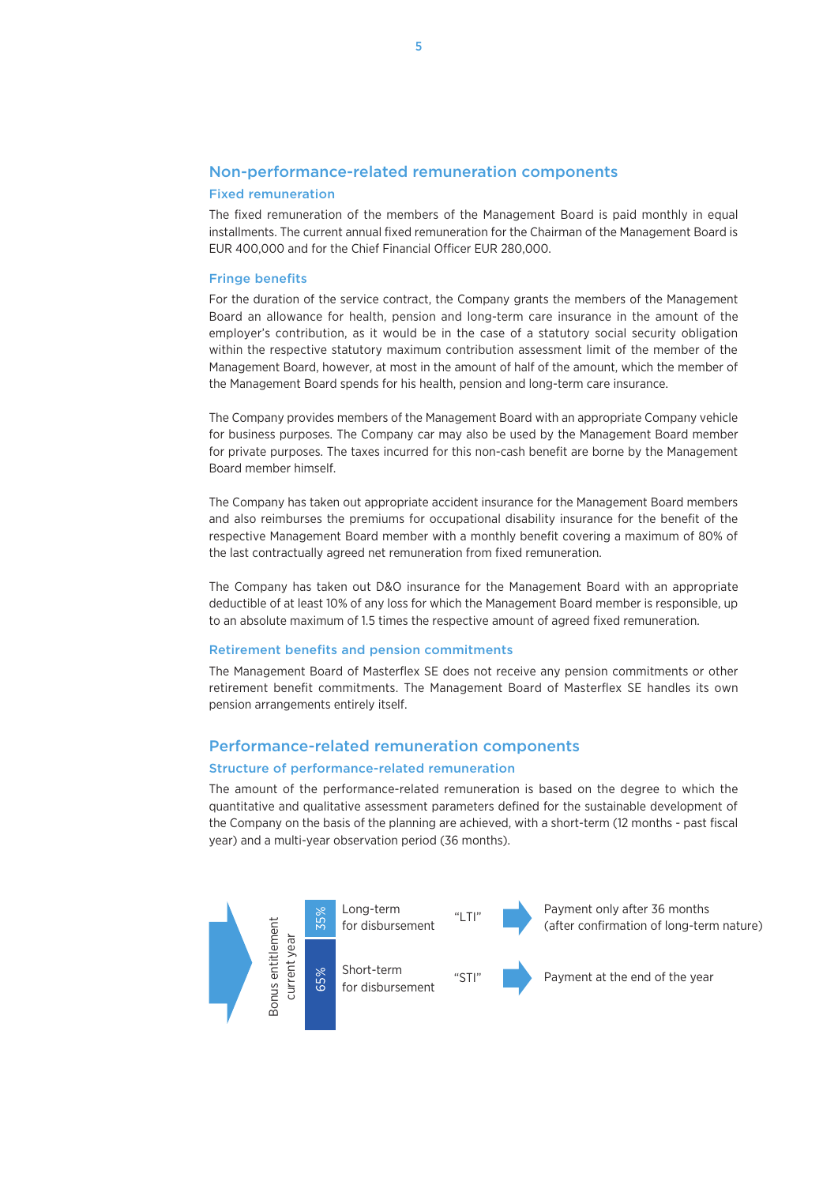### Non-performance-related remuneration components

#### Fixed remuneration

The fixed remuneration of the members of the Management Board is paid monthly in equal installments. The current annual fixed remuneration for the Chairman of the Management Board is EUR 400,000 and for the Chief Financial Officer EUR 280,000.

#### Fringe benefits

For the duration of the service contract, the Company grants the members of the Management Board an allowance for health, pension and long-term care insurance in the amount of the employer's contribution, as it would be in the case of a statutory social security obligation within the respective statutory maximum contribution assessment limit of the member of the Management Board, however, at most in the amount of half of the amount, which the member of the Management Board spends for his health, pension and long-term care insurance.

The Company provides members of the Management Board with an appropriate Company vehicle for business purposes. The Company car may also be used by the Management Board member for private purposes. The taxes incurred for this non-cash benefit are borne by the Management Board member himself.

The Company has taken out appropriate accident insurance for the Management Board members and also reimburses the premiums for occupational disability insurance for the benefit of the respective Management Board member with a monthly benefit covering a maximum of 80% of the last contractually agreed net remuneration from fixed remuneration.

The Company has taken out D&O insurance for the Management Board with an appropriate deductible of at least 10% of any loss for which the Management Board member is responsible, up to an absolute maximum of 1.5 times the respective amount of agreed fixed remuneration.

#### Retirement benefits and pension commitments

The Management Board of Masterflex SE does not receive any pension commitments or other retirement benefit commitments. The Management Board of Masterflex SE handles its own pension arrangements entirely itself.

### Performance-related remuneration components

### Structure of performance-related remuneration

The amount of the performance-related remuneration is based on the degree to which the quantitative and qualitative assessment parameters defined for the sustainable development of the Company on the basis of the planning are achieved, with a short-term (12 months - past fiscal year) and a multi-year observation period (36 months).

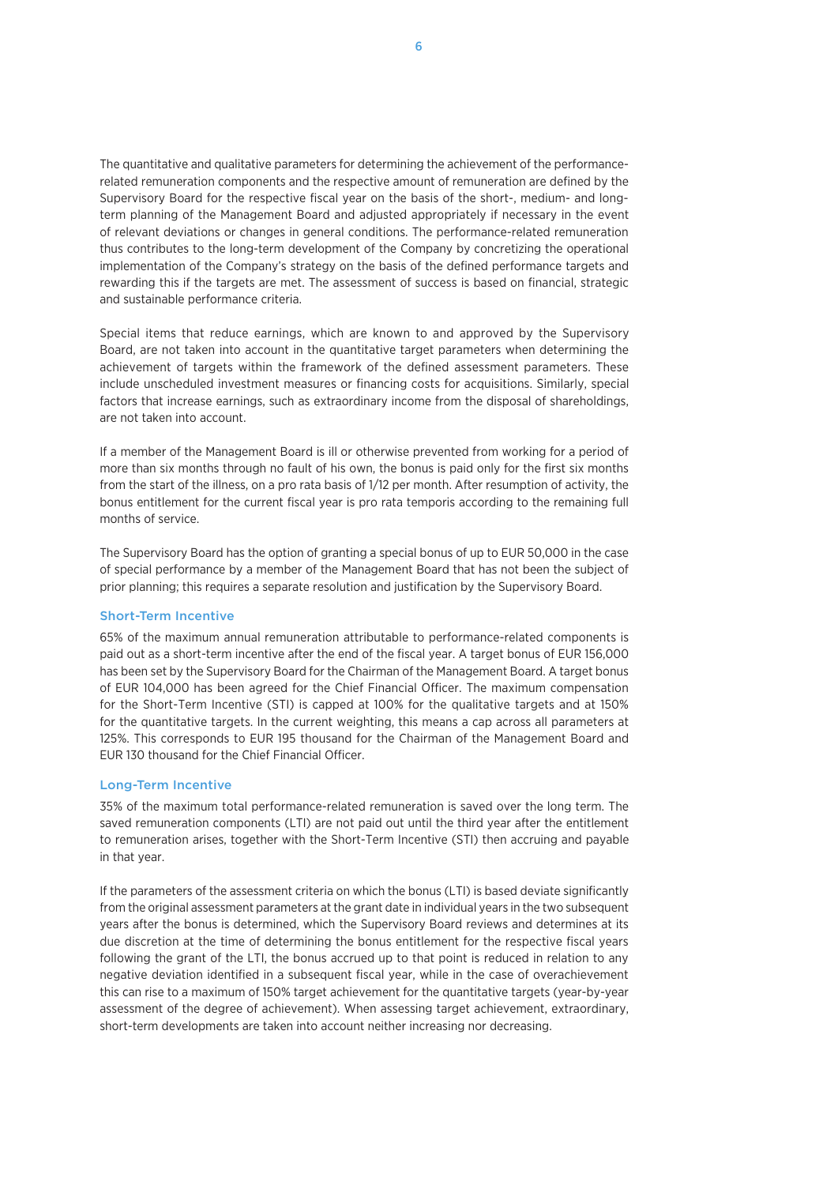The quantitative and qualitative parameters for determining the achievement of the performancerelated remuneration components and the respective amount of remuneration are defined by the Supervisory Board for the respective fiscal year on the basis of the short-, medium- and longterm planning of the Management Board and adjusted appropriately if necessary in the event of relevant deviations or changes in general conditions. The performance-related remuneration thus contributes to the long-term development of the Company by concretizing the operational implementation of the Company's strategy on the basis of the defined performance targets and rewarding this if the targets are met. The assessment of success is based on financial, strategic and sustainable performance criteria.

Special items that reduce earnings, which are known to and approved by the Supervisory Board, are not taken into account in the quantitative target parameters when determining the achievement of targets within the framework of the defined assessment parameters. These include unscheduled investment measures or financing costs for acquisitions. Similarly, special factors that increase earnings, such as extraordinary income from the disposal of shareholdings, are not taken into account.

If a member of the Management Board is ill or otherwise prevented from working for a period of more than six months through no fault of his own, the bonus is paid only for the first six months from the start of the illness, on a pro rata basis of 1/12 per month. After resumption of activity, the bonus entitlement for the current fiscal year is pro rata temporis according to the remaining full months of service.

The Supervisory Board has the option of granting a special bonus of up to EUR 50,000 in the case of special performance by a member of the Management Board that has not been the subject of prior planning; this requires a separate resolution and justification by the Supervisory Board.

#### Short-Term Incentive

65% of the maximum annual remuneration attributable to performance-related components is paid out as a short-term incentive after the end of the fiscal year. A target bonus of EUR 156,000 has been set by the Supervisory Board for the Chairman of the Management Board. A target bonus of EUR 104,000 has been agreed for the Chief Financial Officer. The maximum compensation for the Short-Term Incentive (STI) is capped at 100% for the qualitative targets and at 150% for the quantitative targets. In the current weighting, this means a cap across all parameters at 125%. This corresponds to EUR 195 thousand for the Chairman of the Management Board and EUR 130 thousand for the Chief Financial Officer.

#### Long-Term Incentive

35% of the maximum total performance-related remuneration is saved over the long term. The saved remuneration components (LTI) are not paid out until the third year after the entitlement to remuneration arises, together with the Short-Term Incentive (STI) then accruing and payable in that year.

If the parameters of the assessment criteria on which the bonus (LTI) is based deviate significantly from the original assessment parameters at the grant date in individual years in the two subsequent years after the bonus is determined, which the Supervisory Board reviews and determines at its due discretion at the time of determining the bonus entitlement for the respective fiscal years following the grant of the LTI, the bonus accrued up to that point is reduced in relation to any negative deviation identified in a subsequent fiscal year, while in the case of overachievement this can rise to a maximum of 150% target achievement for the quantitative targets (year-by-year assessment of the degree of achievement). When assessing target achievement, extraordinary, short-term developments are taken into account neither increasing nor decreasing.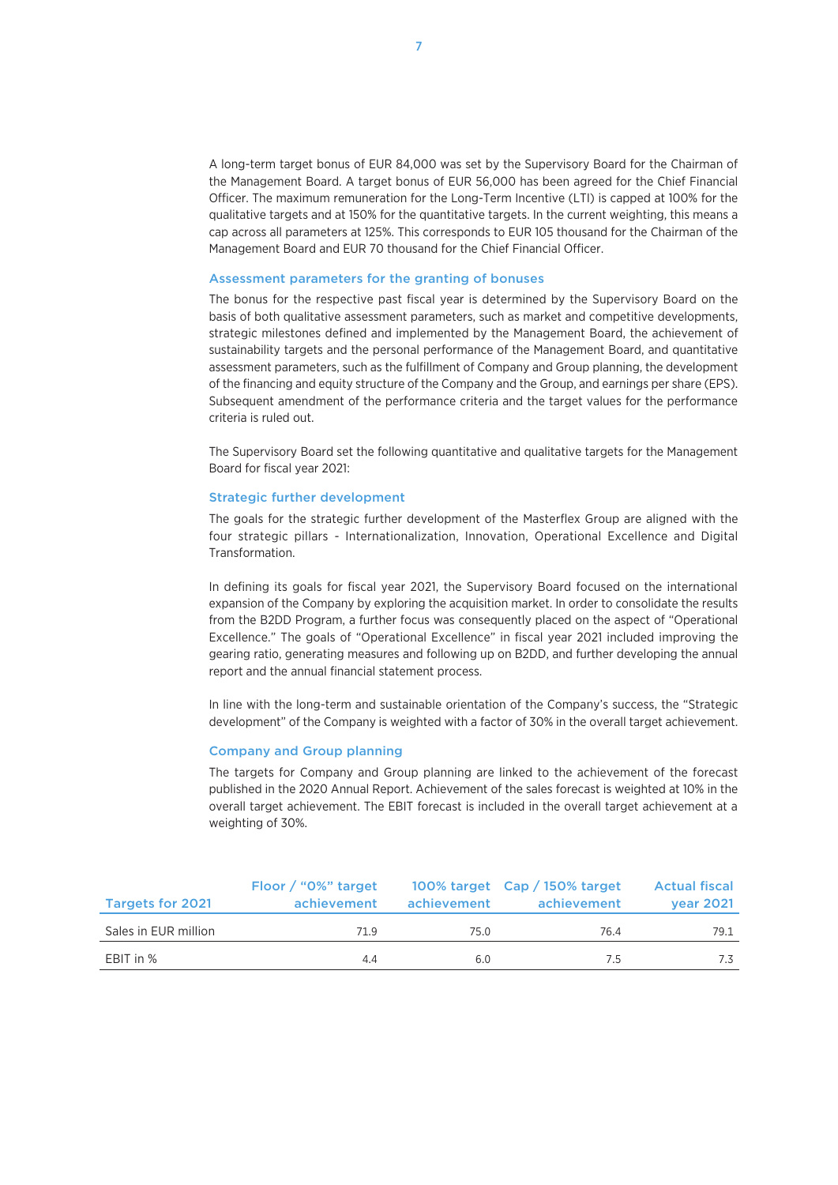A long-term target bonus of EUR 84,000 was set by the Supervisory Board for the Chairman of the Management Board. A target bonus of EUR 56,000 has been agreed for the Chief Financial Officer. The maximum remuneration for the Long-Term Incentive (LTI) is capped at 100% for the qualitative targets and at 150% for the quantitative targets. In the current weighting, this means a cap across all parameters at 125%. This corresponds to EUR 105 thousand for the Chairman of the Management Board and EUR 70 thousand for the Chief Financial Officer.

#### Assessment parameters for the granting of bonuses

The bonus for the respective past fiscal year is determined by the Supervisory Board on the basis of both qualitative assessment parameters, such as market and competitive developments, strategic milestones defined and implemented by the Management Board, the achievement of sustainability targets and the personal performance of the Management Board, and quantitative assessment parameters, such as the fulfillment of Company and Group planning, the development of the financing and equity structure of the Company and the Group, and earnings per share (EPS). Subsequent amendment of the performance criteria and the target values for the performance criteria is ruled out.

The Supervisory Board set the following quantitative and qualitative targets for the Management Board for fiscal year 2021:

#### Strategic further development

The goals for the strategic further development of the Masterflex Group are aligned with the four strategic pillars - Internationalization, Innovation, Operational Excellence and Digital Transformation.

In defining its goals for fiscal year 2021, the Supervisory Board focused on the international expansion of the Company by exploring the acquisition market. In order to consolidate the results from the B2DD Program, a further focus was consequently placed on the aspect of "Operational Excellence." The goals of "Operational Excellence" in fiscal year 2021 included improving the gearing ratio, generating measures and following up on B2DD, and further developing the annual report and the annual financial statement process.

In line with the long-term and sustainable orientation of the Company's success, the "Strategic development" of the Company is weighted with a factor of 30% in the overall target achievement.

#### Company and Group planning

The targets for Company and Group planning are linked to the achievement of the forecast published in the 2020 Annual Report. Achievement of the sales forecast is weighted at 10% in the overall target achievement. The EBIT forecast is included in the overall target achievement at a weighting of 30%.

| <b>Targets for 2021</b> | Floor / "0%" target<br>achievement | achievement | 100% target Cap / 150% target<br>achievement | <b>Actual fiscal</b><br><b>year 2021</b> |
|-------------------------|------------------------------------|-------------|----------------------------------------------|------------------------------------------|
| Sales in EUR million    | 71.9                               | 75.0        | 76.4                                         | 79.1                                     |
| EBIT in %               | 4.4                                | 6.0         | 7.5                                          |                                          |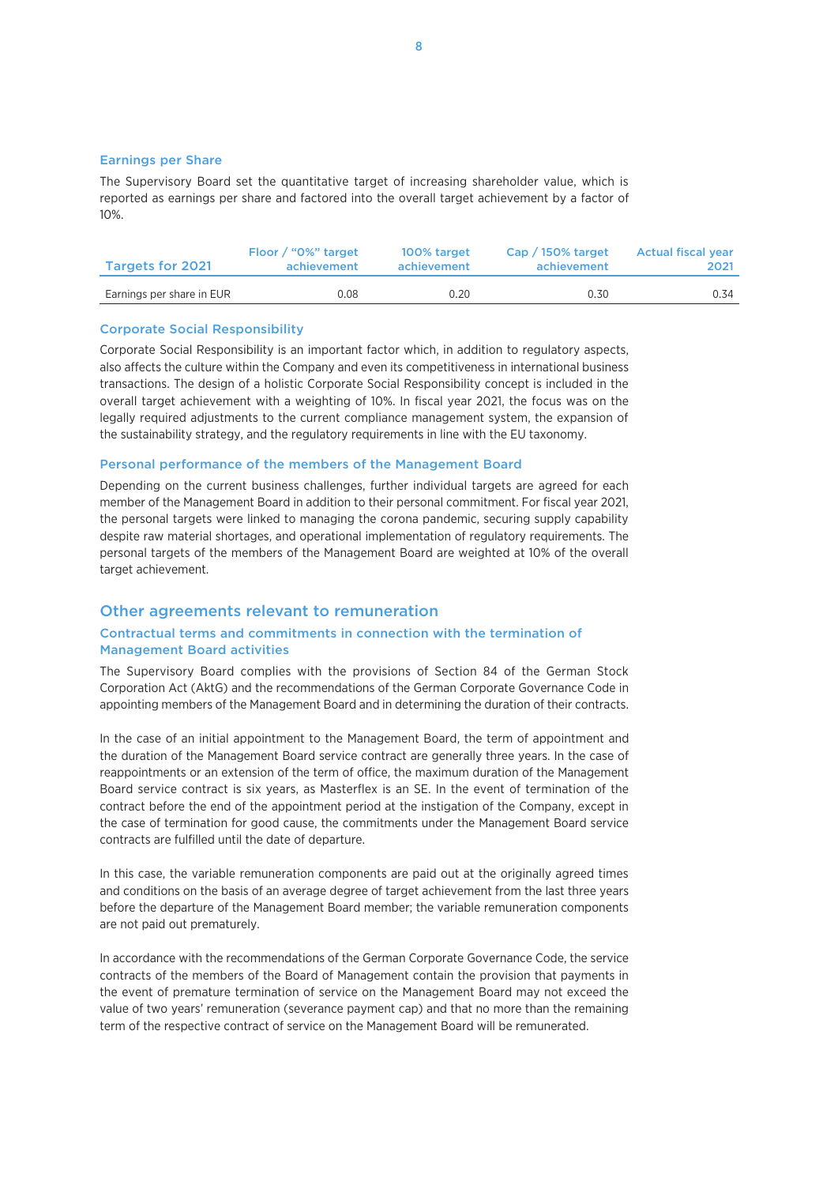#### Earnings per Share

The Supervisory Board set the quantitative target of increasing shareholder value, which is reported as earnings per share and factored into the overall target achievement by a factor of 10%.

| <b>Targets for 2021</b>   | Floor / "0%" target | 100% target | Cap / 150% target | <b>Actual fiscal year</b> |
|---------------------------|---------------------|-------------|-------------------|---------------------------|
|                           | achievement         | achievement | achievement       | 2021                      |
| Earnings per share in EUR | 0.08                | 0.20        | 0.30              | 0.34                      |

#### Corporate Social Responsibility

Corporate Social Responsibility is an important factor which, in addition to regulatory aspects, also affects the culture within the Company and even its competitiveness in international business transactions. The design of a holistic Corporate Social Responsibility concept is included in the overall target achievement with a weighting of 10%. In fiscal year 2021, the focus was on the legally required adjustments to the current compliance management system, the expansion of the sustainability strategy, and the regulatory requirements in line with the EU taxonomy.

#### Personal performance of the members of the Management Board

Depending on the current business challenges, further individual targets are agreed for each member of the Management Board in addition to their personal commitment. For fiscal year 2021, the personal targets were linked to managing the corona pandemic, securing supply capability despite raw material shortages, and operational implementation of regulatory requirements. The personal targets of the members of the Management Board are weighted at 10% of the overall target achievement.

### Other agreements relevant to remuneration

#### Contractual terms and commitments in connection with the termination of Management Board activities

The Supervisory Board complies with the provisions of Section 84 of the German Stock Corporation Act (AktG) and the recommendations of the German Corporate Governance Code in appointing members of the Management Board and in determining the duration of their contracts.

In the case of an initial appointment to the Management Board, the term of appointment and the duration of the Management Board service contract are generally three years. In the case of reappointments or an extension of the term of office, the maximum duration of the Management Board service contract is six years, as Masterflex is an SE. In the event of termination of the contract before the end of the appointment period at the instigation of the Company, except in the case of termination for good cause, the commitments under the Management Board service contracts are fulfilled until the date of departure.

In this case, the variable remuneration components are paid out at the originally agreed times and conditions on the basis of an average degree of target achievement from the last three years before the departure of the Management Board member; the variable remuneration components are not paid out prematurely.

In accordance with the recommendations of the German Corporate Governance Code, the service contracts of the members of the Board of Management contain the provision that payments in the event of premature termination of service on the Management Board may not exceed the value of two years' remuneration (severance payment cap) and that no more than the remaining term of the respective contract of service on the Management Board will be remunerated.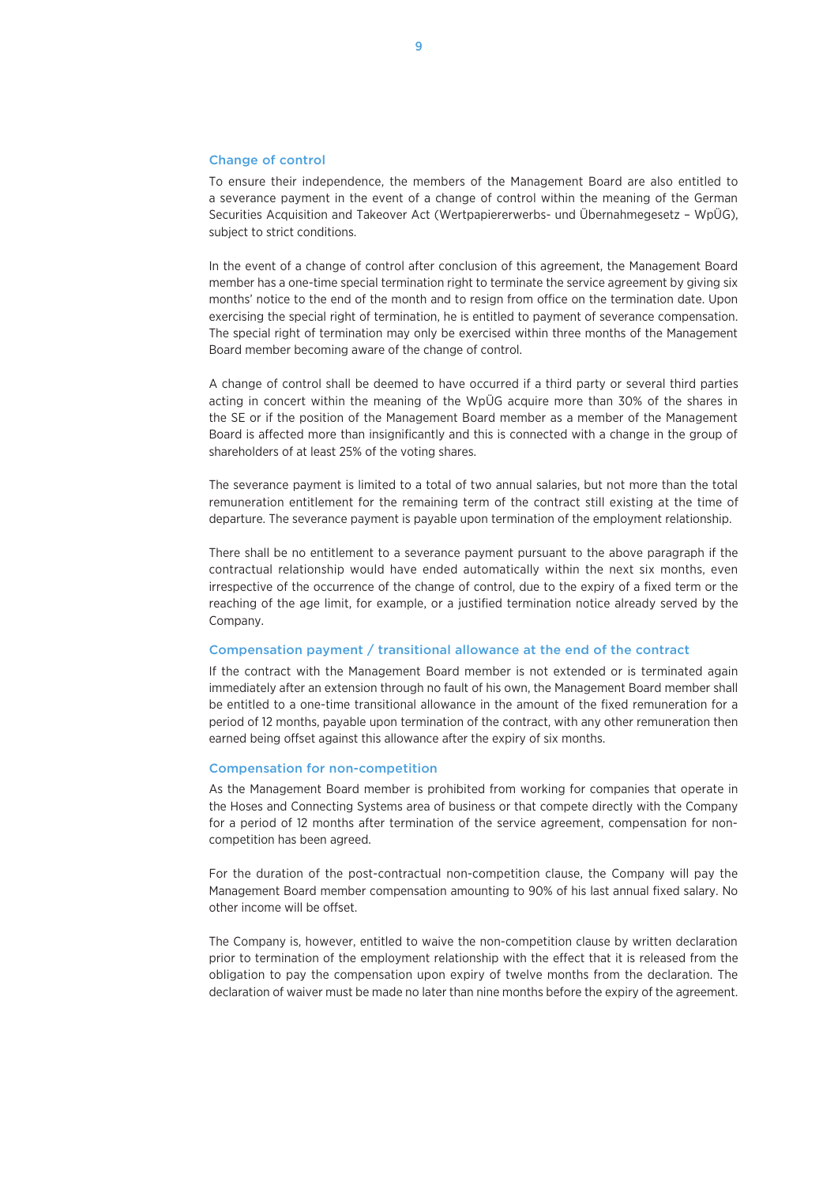#### Change of control

To ensure their independence, the members of the Management Board are also entitled to a severance payment in the event of a change of control within the meaning of the German Securities Acquisition and Takeover Act (Wertpapiererwerbs- und Übernahmegesetz – WpÜG), subject to strict conditions.

In the event of a change of control after conclusion of this agreement, the Management Board member has a one-time special termination right to terminate the service agreement by giving six months' notice to the end of the month and to resign from office on the termination date. Upon exercising the special right of termination, he is entitled to payment of severance compensation. The special right of termination may only be exercised within three months of the Management Board member becoming aware of the change of control.

A change of control shall be deemed to have occurred if a third party or several third parties acting in concert within the meaning of the WpÜG acquire more than 30% of the shares in the SE or if the position of the Management Board member as a member of the Management Board is affected more than insignificantly and this is connected with a change in the group of shareholders of at least 25% of the voting shares.

The severance payment is limited to a total of two annual salaries, but not more than the total remuneration entitlement for the remaining term of the contract still existing at the time of departure. The severance payment is payable upon termination of the employment relationship.

There shall be no entitlement to a severance payment pursuant to the above paragraph if the contractual relationship would have ended automatically within the next six months, even irrespective of the occurrence of the change of control, due to the expiry of a fixed term or the reaching of the age limit, for example, or a justified termination notice already served by the Company.

#### Compensation payment / transitional allowance at the end of the contract

If the contract with the Management Board member is not extended or is terminated again immediately after an extension through no fault of his own, the Management Board member shall be entitled to a one-time transitional allowance in the amount of the fixed remuneration for a period of 12 months, payable upon termination of the contract, with any other remuneration then earned being offset against this allowance after the expiry of six months.

#### Compensation for non-competition

As the Management Board member is prohibited from working for companies that operate in the Hoses and Connecting Systems area of business or that compete directly with the Company for a period of 12 months after termination of the service agreement, compensation for noncompetition has been agreed.

For the duration of the post-contractual non-competition clause, the Company will pay the Management Board member compensation amounting to 90% of his last annual fixed salary. No other income will be offset.

The Company is, however, entitled to waive the non-competition clause by written declaration prior to termination of the employment relationship with the effect that it is released from the obligation to pay the compensation upon expiry of twelve months from the declaration. The declaration of waiver must be made no later than nine months before the expiry of the agreement.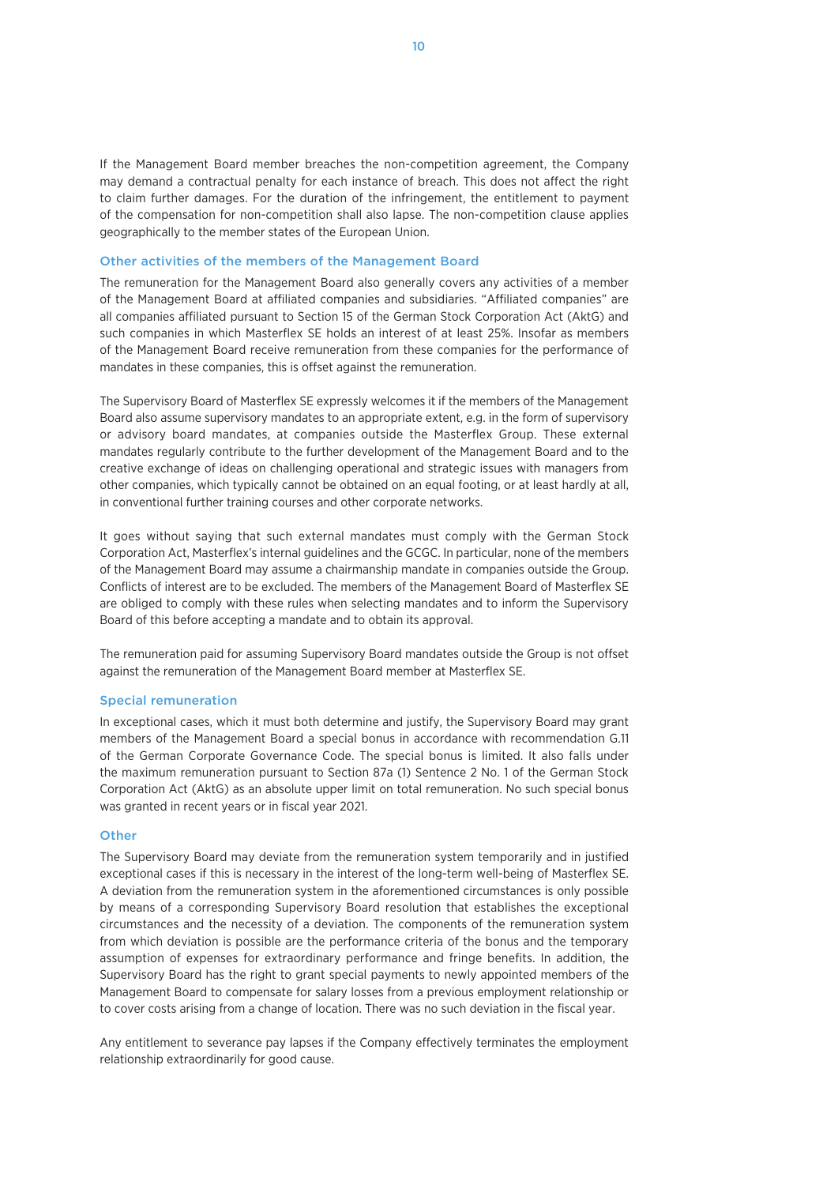If the Management Board member breaches the non-competition agreement, the Company may demand a contractual penalty for each instance of breach. This does not affect the right to claim further damages. For the duration of the infringement, the entitlement to payment of the compensation for non-competition shall also lapse. The non-competition clause applies geographically to the member states of the European Union.

#### Other activities of the members of the Management Board

The remuneration for the Management Board also generally covers any activities of a member of the Management Board at affiliated companies and subsidiaries. "Affiliated companies" are all companies affiliated pursuant to Section 15 of the German Stock Corporation Act (AktG) and such companies in which Masterflex SE holds an interest of at least 25%. Insofar as members of the Management Board receive remuneration from these companies for the performance of mandates in these companies, this is offset against the remuneration.

The Supervisory Board of Masterflex SE expressly welcomes it if the members of the Management Board also assume supervisory mandates to an appropriate extent, e.g. in the form of supervisory or advisory board mandates, at companies outside the Masterflex Group. These external mandates regularly contribute to the further development of the Management Board and to the creative exchange of ideas on challenging operational and strategic issues with managers from other companies, which typically cannot be obtained on an equal footing, or at least hardly at all, in conventional further training courses and other corporate networks.

It goes without saying that such external mandates must comply with the German Stock Corporation Act, Masterflex's internal guidelines and the GCGC. In particular, none of the members of the Management Board may assume a chairmanship mandate in companies outside the Group. Conflicts of interest are to be excluded. The members of the Management Board of Masterflex SE are obliged to comply with these rules when selecting mandates and to inform the Supervisory Board of this before accepting a mandate and to obtain its approval.

The remuneration paid for assuming Supervisory Board mandates outside the Group is not offset against the remuneration of the Management Board member at Masterflex SE.

#### Special remuneration

In exceptional cases, which it must both determine and justify, the Supervisory Board may grant members of the Management Board a special bonus in accordance with recommendation G.11 of the German Corporate Governance Code. The special bonus is limited. It also falls under the maximum remuneration pursuant to Section 87a (1) Sentence 2 No. 1 of the German Stock Corporation Act (AktG) as an absolute upper limit on total remuneration. No such special bonus was granted in recent years or in fiscal year 2021.

#### **Other**

The Supervisory Board may deviate from the remuneration system temporarily and in justified exceptional cases if this is necessary in the interest of the long-term well-being of Masterflex SE. A deviation from the remuneration system in the aforementioned circumstances is only possible by means of a corresponding Supervisory Board resolution that establishes the exceptional circumstances and the necessity of a deviation. The components of the remuneration system from which deviation is possible are the performance criteria of the bonus and the temporary assumption of expenses for extraordinary performance and fringe benefits. In addition, the Supervisory Board has the right to grant special payments to newly appointed members of the Management Board to compensate for salary losses from a previous employment relationship or to cover costs arising from a change of location. There was no such deviation in the fiscal year.

Any entitlement to severance pay lapses if the Company effectively terminates the employment relationship extraordinarily for good cause.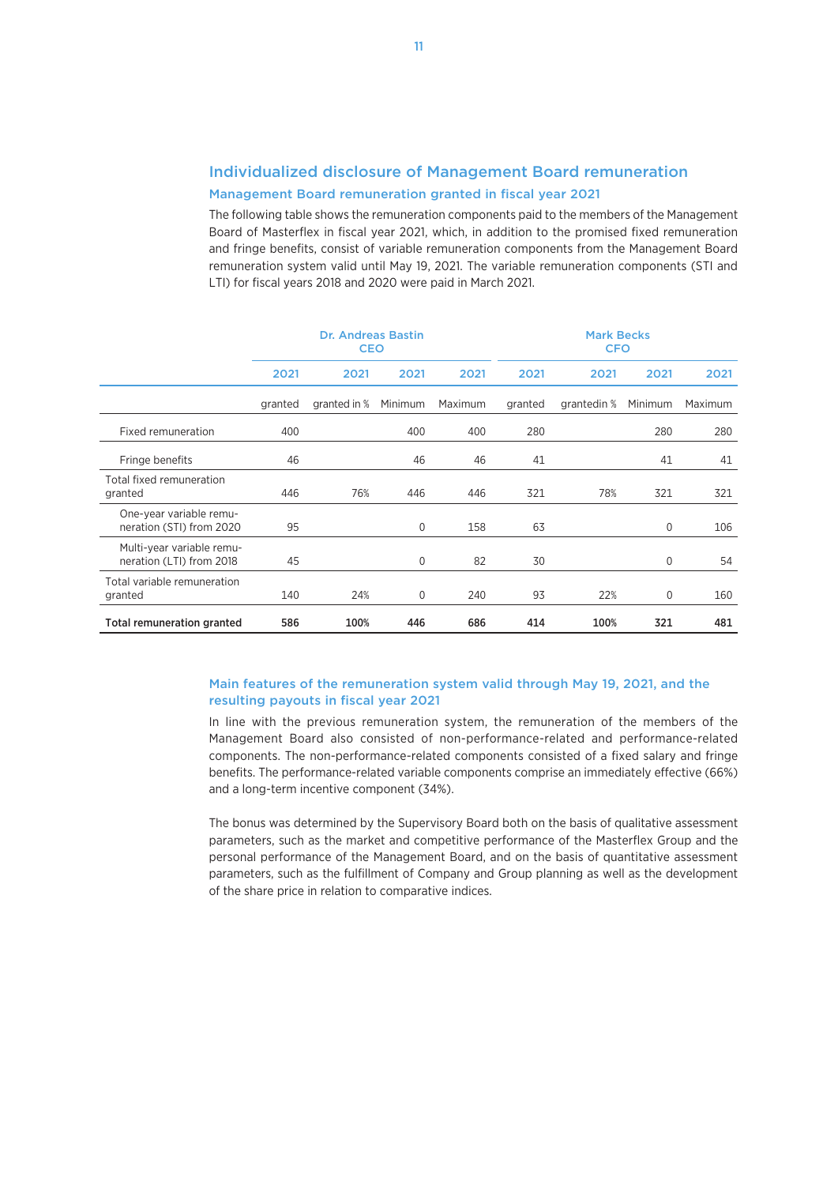# Individualized disclosure of Management Board remuneration

### Management Board remuneration granted in fiscal year 2021

The following table shows the remuneration components paid to the members of the Management Board of Masterflex in fiscal year 2021, which, in addition to the promised fixed remuneration and fringe benefits, consist of variable remuneration components from the Management Board remuneration system valid until May 19, 2021. The variable remuneration components (STI and LTI) for fiscal years 2018 and 2020 were paid in March 2021.

|                                                       | <b>Dr. Andreas Bastin</b><br><b>CEO</b> |              |             | <b>Mark Becks</b><br><b>CFO</b> |         |             |         |         |
|-------------------------------------------------------|-----------------------------------------|--------------|-------------|---------------------------------|---------|-------------|---------|---------|
|                                                       | 2021                                    | 2021         | 2021        | 2021                            | 2021    | 2021        | 2021    | 2021    |
|                                                       | granted                                 | granted in % | Minimum     | Maximum                         | granted | grantedin % | Minimum | Maximum |
| Fixed remuneration                                    | 400                                     |              | 400         | 400                             | 280     |             | 280     | 280     |
| Fringe benefits                                       | 46                                      |              | 46          | 46                              | 41      |             | 41      | 41      |
| Total fixed remuneration<br>granted                   | 446                                     | 76%          | 446         | 446                             | 321     | 78%         | 321     | 321     |
| One-year variable remu-<br>neration (STI) from 2020   | 95                                      |              | $\mathbf 0$ | 158                             | 63      |             | 0       | 106     |
| Multi-year variable remu-<br>neration (LTI) from 2018 | 45                                      |              | $\mathbf 0$ | 82                              | 30      |             | 0       | 54      |
| Total variable remuneration<br>granted                | 140                                     | 24%          | $\mathbf 0$ | 240                             | 93      | 22%         | 0       | 160     |
| <b>Total remuneration granted</b>                     | 586                                     | 100%         | 446         | 686                             | 414     | 100%        | 321     | 481     |

### Main features of the remuneration system valid through May 19, 2021, and the resulting payouts in fiscal year 2021

In line with the previous remuneration system, the remuneration of the members of the Management Board also consisted of non-performance-related and performance-related components. The non-performance-related components consisted of a fixed salary and fringe benefits. The performance-related variable components comprise an immediately effective (66%) and a long-term incentive component (34%).

The bonus was determined by the Supervisory Board both on the basis of qualitative assessment parameters, such as the market and competitive performance of the Masterflex Group and the personal performance of the Management Board, and on the basis of quantitative assessment parameters, such as the fulfillment of Company and Group planning as well as the development of the share price in relation to comparative indices.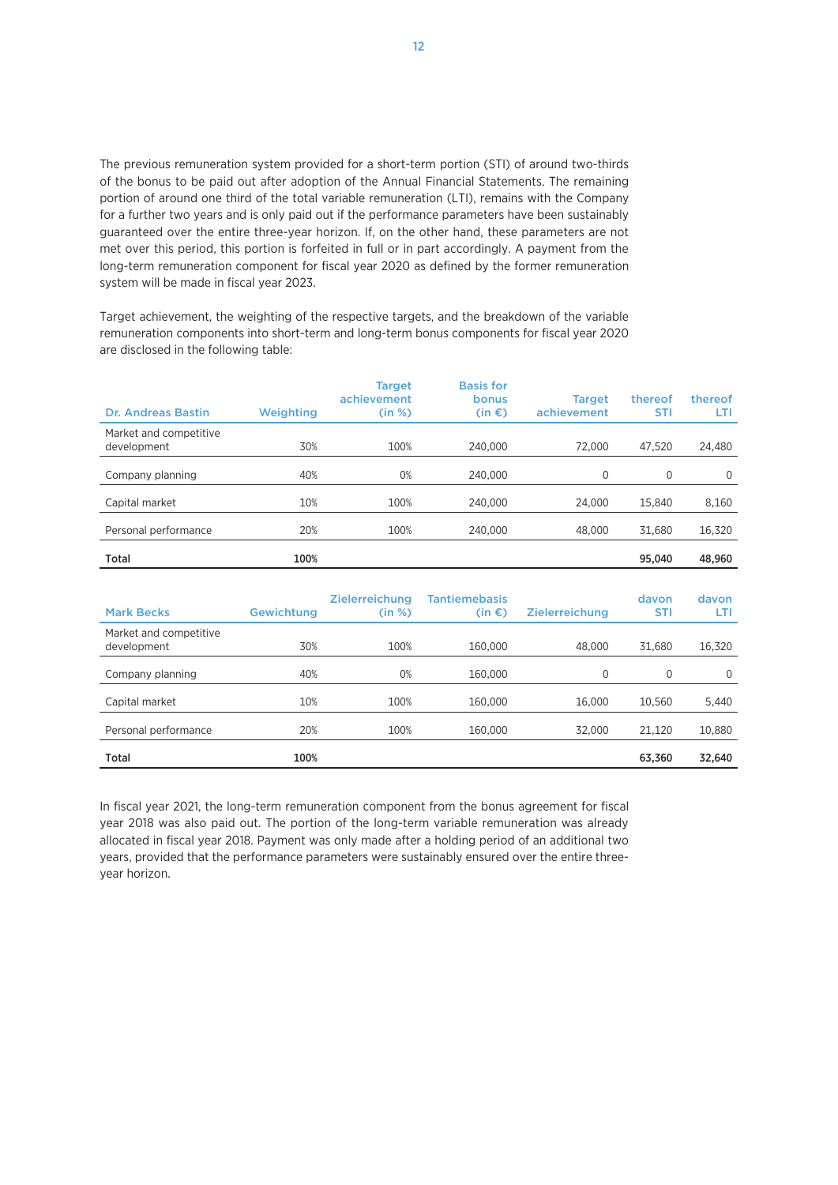The previous remuneration system provided for a short-term portion (STI) of around two-thirds of the bonus to be paid out after adoption of the Annual Financial Statements. The remaining portion of around one third of the total variable remuneration (LTI), remains with the Company for a further two years and is only paid out if the performance parameters have been sustainably guaranteed over the entire three-year horizon. If, on the other hand, these parameters are not met over this period, this portion is forfeited in full or in part accordingly. A payment from the long-term remuneration component for fiscal year 2020 as defined by the former remuneration system will be made in fiscal year 2023.

Target achievement, the weighting of the respective targets, and the breakdown of the variable remuneration components into short-term and long-term bonus components for fiscal year 2020 are disclosed in the following table:

| <b>Dr. Andreas Bastin</b>             | <b>Weighting</b> | <b>Target</b><br>achievement<br>(in %) | <b>Basis for</b><br>bonus<br>$(in \in)$ | <b>Target</b><br>achievement | thereof<br><b>STI</b> | thereof<br>LTI |
|---------------------------------------|------------------|----------------------------------------|-----------------------------------------|------------------------------|-----------------------|----------------|
| Market and competitive<br>development | 30%              | 100%                                   | 240,000                                 | 72,000                       | 47.520                | 24,480         |
| Company planning                      | 40%              | 0%                                     | 240,000                                 | 0                            | 0                     | $\Omega$       |
| Capital market                        | 10%              | 100%                                   | 240,000                                 | 24,000                       | 15.840                | 8,160          |
| Personal performance                  | 20%              | 100%                                   | 240,000                                 | 48,000                       | 31.680                | 16,320         |
| <b>Total</b>                          | 100%             |                                        |                                         |                              | 95.040                | 48.960         |

| <b>Mark Becks</b>                     | Gewichtung | <b>Zielerreichung</b><br>(in %) | <b>Tantiemebasis</b><br>$(in \in \mathcal{E})$ | <b>Zielerreichung</b> | davon<br><b>STI</b> | davon<br>LTI |
|---------------------------------------|------------|---------------------------------|------------------------------------------------|-----------------------|---------------------|--------------|
| Market and competitive<br>development | 30%        | 100%                            | 160,000                                        | 48,000                | 31.680              | 16,320       |
| Company planning                      | 40%        | 0%                              | 160,000                                        | 0                     | 0                   | 0            |
| Capital market                        | 10%        | 100%                            | 160,000                                        | 16,000                | 10.560              | 5,440        |
| Personal performance                  | 20%        | 100%                            | 160,000                                        | 32,000                | 21,120              | 10,880       |
| <b>Total</b>                          | 100%       |                                 |                                                |                       | 63.360              | 32.640       |

In fiscal year 2021, the long-term remuneration component from the bonus agreement for fiscal year 2018 was also paid out. The portion of the long-term variable remuneration was already allocated in fiscal year 2018. Payment was only made after a holding period of an additional two years, provided that the performance parameters were sustainably ensured over the entire threeyear horizon.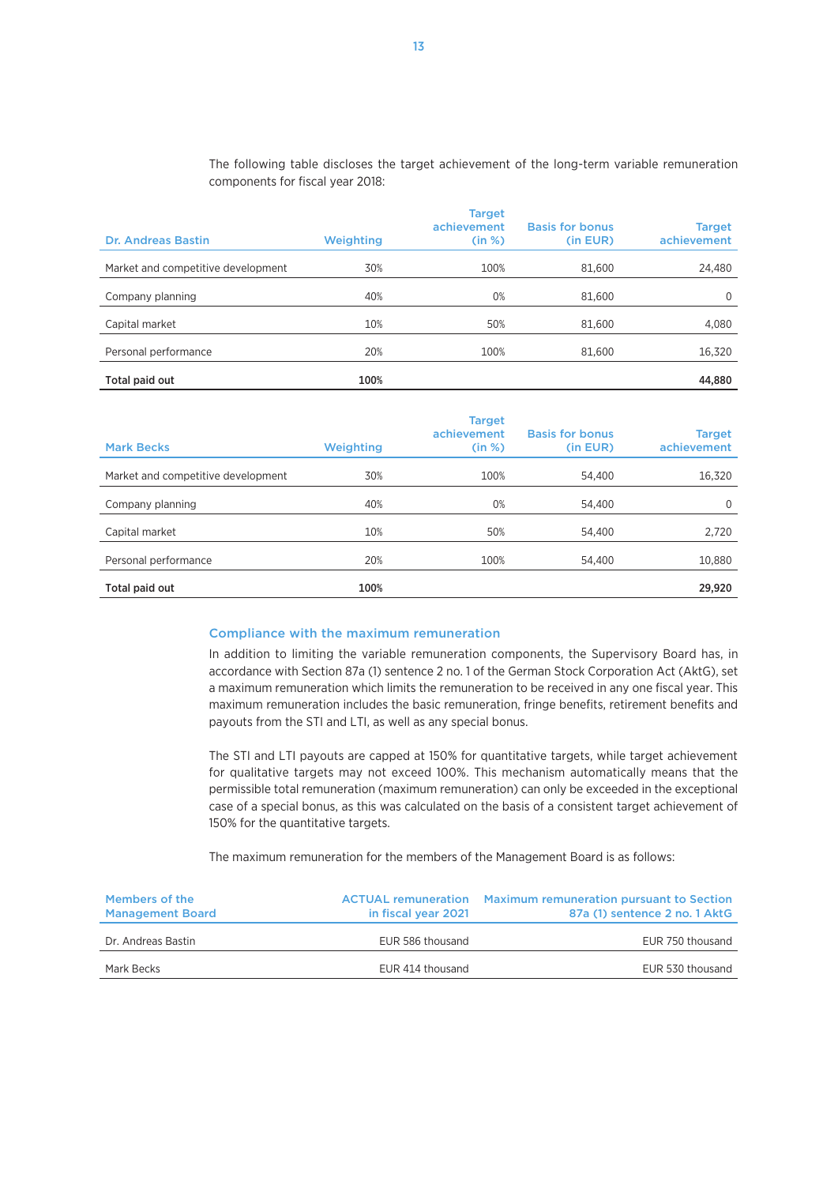The following table discloses the target achievement of the long-term variable remuneration components for fiscal year 2018:

| <b>Dr. Andreas Bastin</b>          | <b>Weighting</b> | <b>Target</b><br>achievement<br>(in %) | <b>Basis for bonus</b><br>(in EUR) | <b>Target</b><br>achievement |
|------------------------------------|------------------|----------------------------------------|------------------------------------|------------------------------|
| Market and competitive development | 30%              | 100%                                   | 81.600                             | 24,480                       |
| Company planning                   | 40%              | 0%                                     | 81.600                             | $\Omega$                     |
| Capital market                     | 10%              | 50%                                    | 81,600                             | 4,080                        |
| Personal performance               | 20%              | 100%                                   | 81,600                             | 16,320                       |
| Total paid out                     | 100%             |                                        |                                    | 44,880                       |

| <b>Mark Becks</b>                  | Weighting | <b>Target</b><br>achievement<br>(in %) | <b>Basis for bonus</b><br>(in EUR) | <b>Target</b><br>achievement |
|------------------------------------|-----------|----------------------------------------|------------------------------------|------------------------------|
| Market and competitive development | 30%       | 100%                                   | 54.400                             | 16,320                       |
| Company planning                   | 40%       | 0%                                     | 54,400                             | $\Omega$                     |
| Capital market                     | 10%       | 50%                                    | 54,400                             | 2,720                        |
| Personal performance               | 20%       | 100%                                   | 54,400                             | 10,880                       |
| Total paid out                     | 100%      |                                        |                                    | 29,920                       |

#### Compliance with the maximum remuneration

In addition to limiting the variable remuneration components, the Supervisory Board has, in accordance with Section 87a (1) sentence 2 no. 1 of the German Stock Corporation Act (AktG), set a maximum remuneration which limits the remuneration to be received in any one fiscal year. This maximum remuneration includes the basic remuneration, fringe benefits, retirement benefits and payouts from the STI and LTI, as well as any special bonus.

The STI and LTI payouts are capped at 150% for quantitative targets, while target achievement for qualitative targets may not exceed 100%. This mechanism automatically means that the permissible total remuneration (maximum remuneration) can only be exceeded in the exceptional case of a special bonus, as this was calculated on the basis of a consistent target achievement of 150% for the quantitative targets.

The maximum remuneration for the members of the Management Board is as follows:

| Members of the<br><b>Management Board</b> | in fiscal year 2021 | <b>ACTUAL remuneration</b> Maximum remuneration pursuant to Section<br>87a (1) sentence 2 no. 1 AktG |
|-------------------------------------------|---------------------|------------------------------------------------------------------------------------------------------|
| Dr. Andreas Bastin                        | EUR 586 thousand    | EUR 750 thousand                                                                                     |
| Mark Becks                                | EUR 414 thousand    | EUR 530 thousand                                                                                     |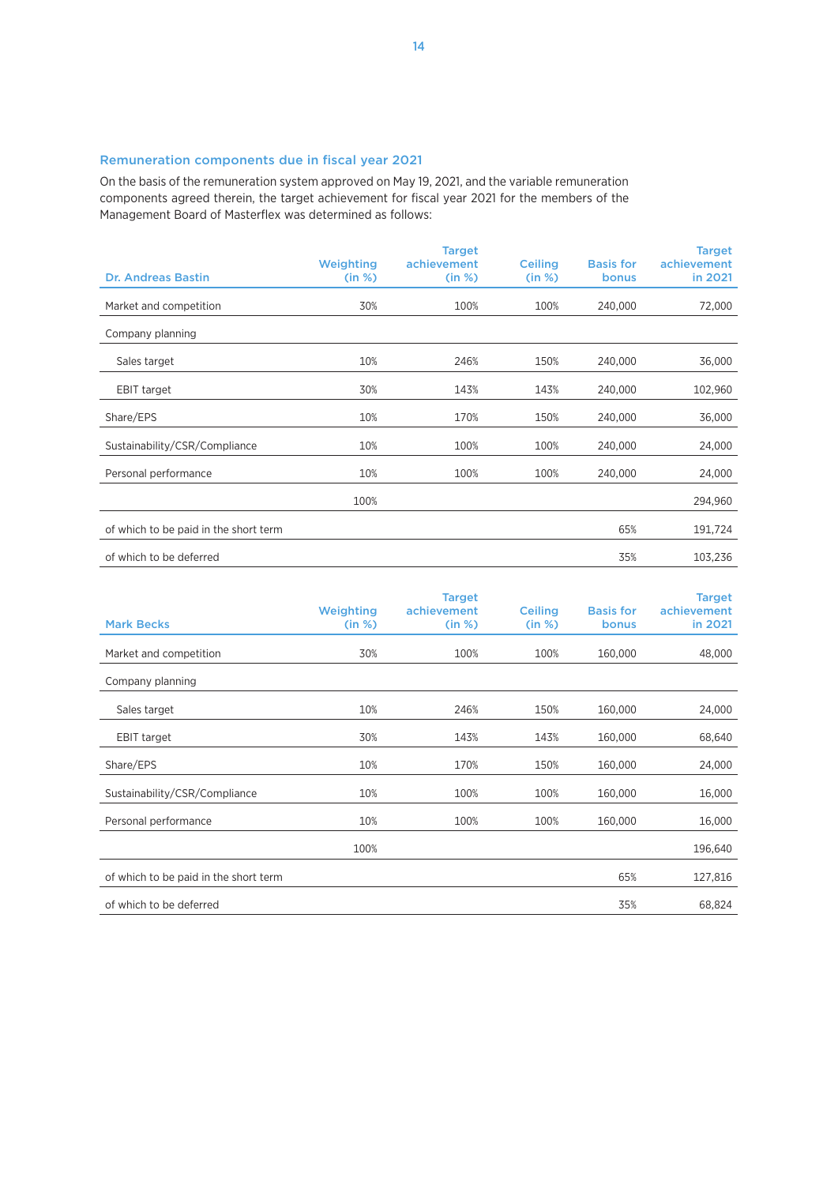### Remuneration components due in fiscal year 2021

On the basis of the remuneration system approved on May 19, 2021, and the variable remuneration components agreed therein, the target achievement for fiscal year 2021 for the members of the Management Board of Masterflex was determined as follows:

|                                       | Weighting | <b>Target</b><br>achievement | <b>Ceiling</b> | <b>Basis for</b> | <b>Target</b><br>achievement |
|---------------------------------------|-----------|------------------------------|----------------|------------------|------------------------------|
| <b>Dr. Andreas Bastin</b>             | (in %)    | (in %)                       | (in %)         | <b>bonus</b>     | in 2021                      |
| Market and competition                | 30%       | 100%                         | 100%           | 240,000          | 72,000                       |
| Company planning                      |           |                              |                |                  |                              |
| Sales target                          | 10%       | 246%                         | 150%           | 240,000          | 36,000                       |
| <b>EBIT target</b>                    | 30%       | 143%                         | 143%           | 240,000          | 102,960                      |
| Share/EPS                             | 10%       | 170%                         | 150%           | 240,000          | 36,000                       |
| Sustainability/CSR/Compliance         | 10%       | 100%                         | 100%           | 240,000          | 24,000                       |
| Personal performance                  | 10%       | 100%                         | 100%           | 240,000          | 24,000                       |
|                                       | 100%      |                              |                |                  | 294,960                      |
| of which to be paid in the short term |           |                              |                | 65%              | 191,724                      |
| of which to be deferred               |           |                              |                | 35%              | 103,236                      |

| <b>Mark Becks</b>                     | Weighting<br>(in %) | <b>Target</b><br>achievement<br>(in %) | <b>Ceiling</b><br>(in %) | <b>Basis for</b><br><b>bonus</b> | <b>Target</b><br>achievement<br>in 2021 |
|---------------------------------------|---------------------|----------------------------------------|--------------------------|----------------------------------|-----------------------------------------|
| Market and competition                | 30%                 | 100%                                   | 100%                     | 160,000                          | 48,000                                  |
| Company planning                      |                     |                                        |                          |                                  |                                         |
| Sales target                          | 10%                 | 246%                                   | 150%                     | 160,000                          | 24,000                                  |
| <b>EBIT target</b>                    | 30%                 | 143%                                   | 143%                     | 160,000                          | 68,640                                  |
| Share/EPS                             | 10%                 | 170%                                   | 150%                     | 160,000                          | 24,000                                  |
| Sustainability/CSR/Compliance         | 10%                 | 100%                                   | 100%                     | 160,000                          | 16,000                                  |
| Personal performance                  | 10%                 | 100%                                   | 100%                     | 160,000                          | 16,000                                  |
|                                       | 100%                |                                        |                          |                                  | 196,640                                 |
| of which to be paid in the short term |                     |                                        |                          | 65%                              | 127,816                                 |
| of which to be deferred               |                     |                                        |                          | 35%                              | 68,824                                  |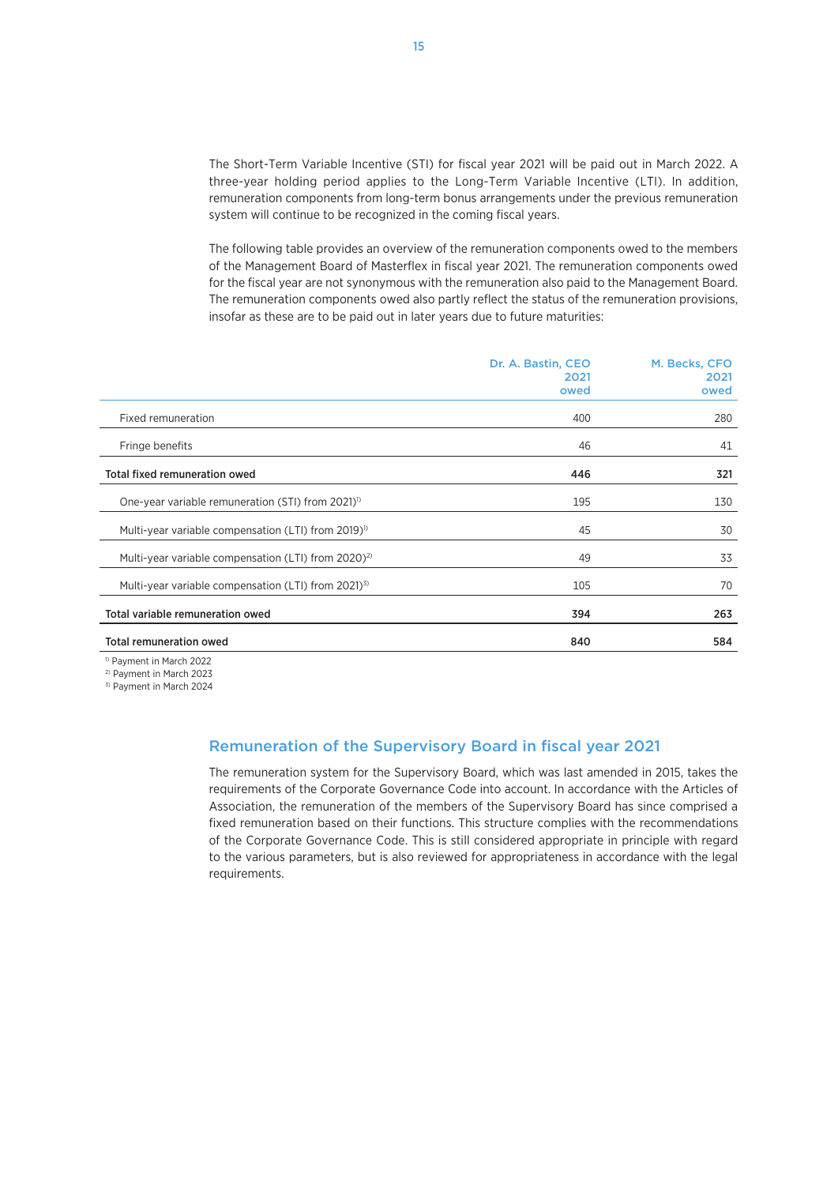The Short-Term Variable Incentive (STI) for fiscal year 2021 will be paid out in March 2022. A three-year holding period applies to the Long-Term Variable Incentive (LTI). In addition, remuneration components from long-term bonus arrangements under the previous remuneration system will continue to be recognized in the coming fiscal years.

The following table provides an overview of the remuneration components owed to the members of the Management Board of Masterflex in fiscal year 2021. The remuneration components owed for the fiscal year are not synonymous with the remuneration also paid to the Management Board. The remuneration components owed also partly reflect the status of the remuneration provisions, insofar as these are to be paid out in later years due to future maturities:

|                                                                 | Dr. A. Bastin, CEO<br>2021<br>owed | M. Becks, CFO<br>2021<br>owed |
|-----------------------------------------------------------------|------------------------------------|-------------------------------|
| Fixed remuneration                                              | 400                                | 280                           |
| Fringe benefits                                                 | 46                                 | 41                            |
| <b>Total fixed remuneration owed</b>                            | 446                                | 321                           |
| One-year variable remuneration (STI) from 2021) <sup>1)</sup>   | 195                                | 130                           |
| Multi-year variable compensation (LTI) from 2019) <sup>1)</sup> | 45                                 | 30                            |
| Multi-year variable compensation (LTI) from 2020) <sup>2)</sup> | 49                                 | 33                            |
| Multi-year variable compensation (LTI) from 2021) <sup>3)</sup> | 105                                | 70                            |
| Total variable remuneration owed                                | 394                                | 263                           |
| <b>Total remuneration owed</b>                                  | 840                                | 584                           |
|                                                                 |                                    |                               |

1) Payment in March 2022

2) Payment in March 2023

3) Payment in March 2024

### Remuneration of the Supervisory Board in fiscal year 2021

The remuneration system for the Supervisory Board, which was last amended in 2015, takes the requirements of the Corporate Governance Code into account. In accordance with the Articles of Association, the remuneration of the members of the Supervisory Board has since comprised a fixed remuneration based on their functions. This structure complies with the recommendations of the Corporate Governance Code. This is still considered appropriate in principle with regard to the various parameters, but is also reviewed for appropriateness in accordance with the legal requirements.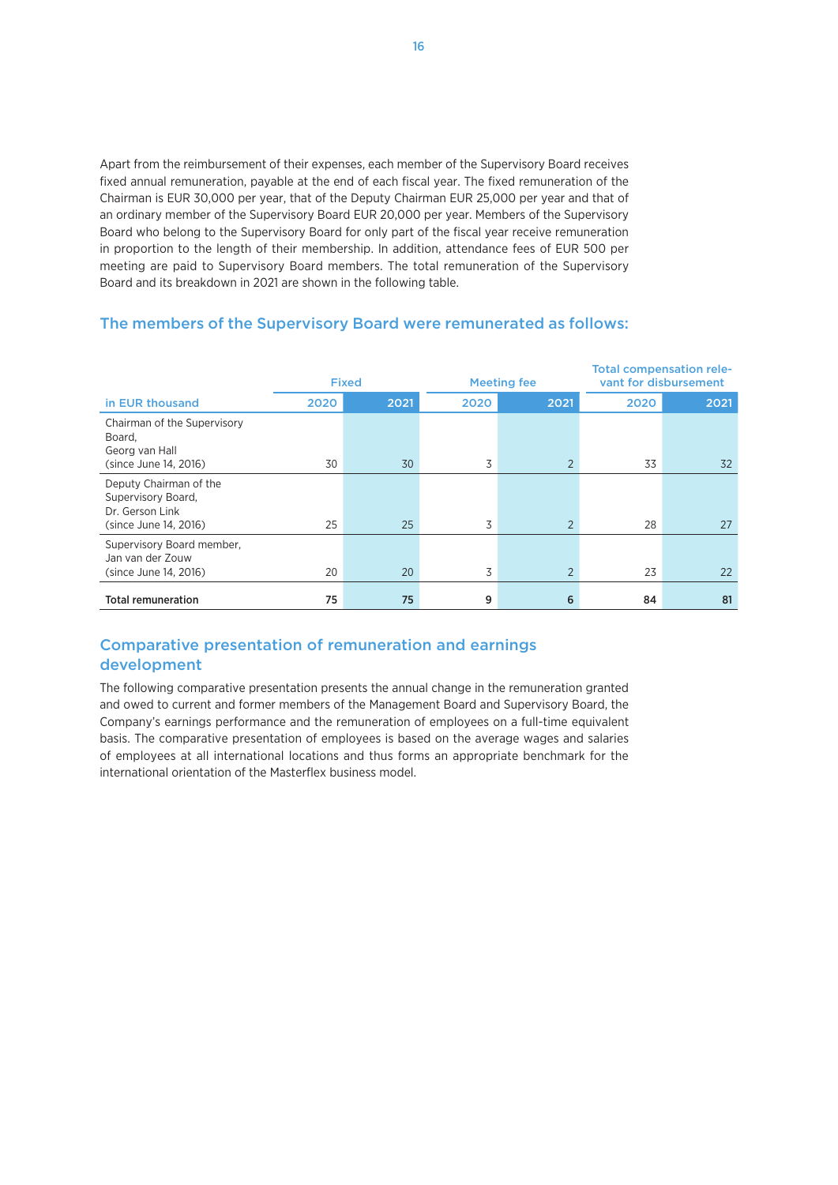Apart from the reimbursement of their expenses, each member of the Supervisory Board receives fixed annual remuneration, payable at the end of each fiscal year. The fixed remuneration of the Chairman is EUR 30,000 per year, that of the Deputy Chairman EUR 25,000 per year and that of an ordinary member of the Supervisory Board EUR 20,000 per year. Members of the Supervisory Board who belong to the Supervisory Board for only part of the fiscal year receive remuneration in proportion to the length of their membership. In addition, attendance fees of EUR 500 per meeting are paid to Supervisory Board members. The total remuneration of the Supervisory Board and its breakdown in 2021 are shown in the following table.

# The members of the Supervisory Board were remunerated as follows:

|                                                                                          | <b>Fixed</b> |      | <b>Meeting fee</b> |                | <b>Total compensation rele-</b><br>vant for disbursement |      |
|------------------------------------------------------------------------------------------|--------------|------|--------------------|----------------|----------------------------------------------------------|------|
| in EUR thousand                                                                          | 2020         | 2021 | 2020               | 2021           | 2020                                                     | 2021 |
| Chairman of the Supervisory<br>Board,<br>Georg van Hall<br>(since June 14, 2016)         | 30           | 30   | 3                  | 2              | 33                                                       | 32   |
| Deputy Chairman of the<br>Supervisory Board,<br>Dr. Gerson Link<br>(since June 14, 2016) | 25           | 25   | 3                  | $\overline{2}$ | 28                                                       | 27   |
| Supervisory Board member,<br>Jan van der Zouw<br>(since June 14, 2016)                   | 20           | 20   | 3                  | $\overline{2}$ | 23                                                       | 22   |
| <b>Total remuneration</b>                                                                | 75           | 75   | 9                  | 6              | 84                                                       | 81   |

# Comparative presentation of remuneration and earnings development

The following comparative presentation presents the annual change in the remuneration granted and owed to current and former members of the Management Board and Supervisory Board, the Company's earnings performance and the remuneration of employees on a full-time equivalent basis. The comparative presentation of employees is based on the average wages and salaries of employees at all international locations and thus forms an appropriate benchmark for the international orientation of the Masterflex business model.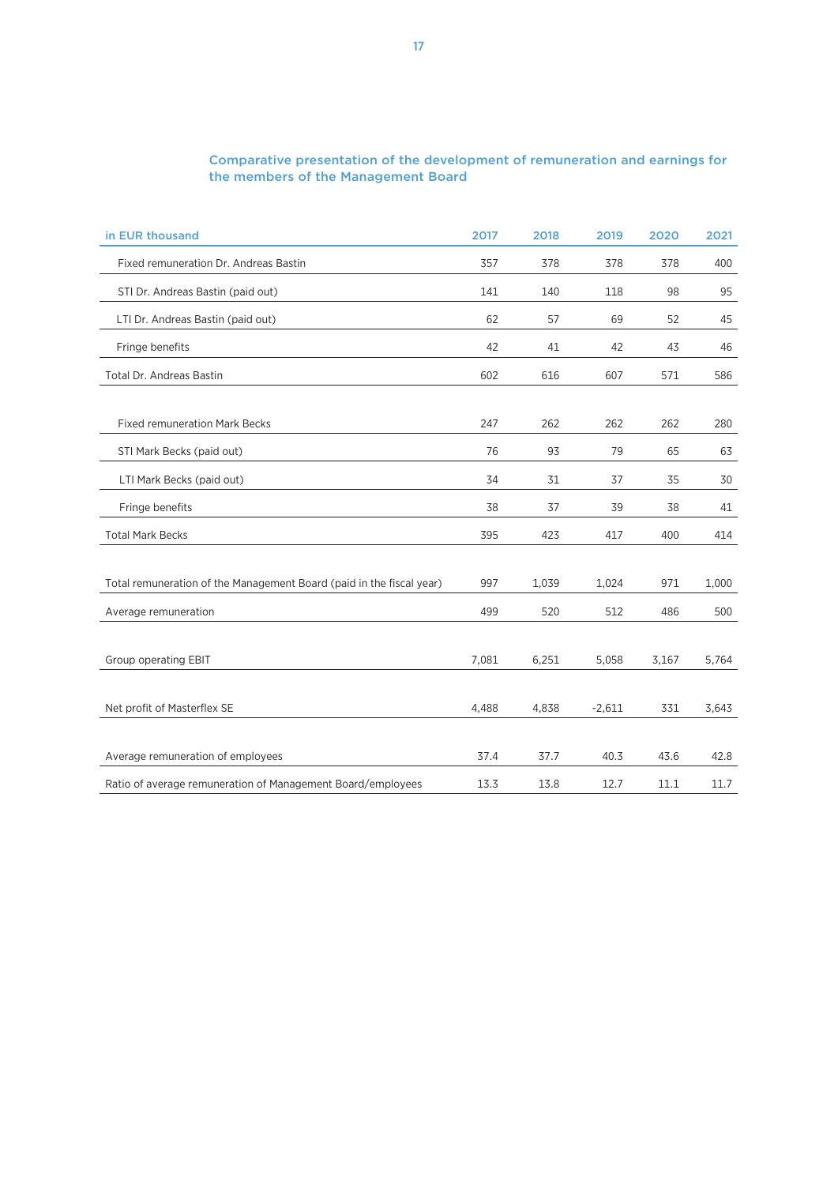# Comparative presentation of the development of remuneration and earnings for the members of the Management Board

| in EUR thousand                                                      | 2017  | 2018  | 2019     | 2020  | 2021  |
|----------------------------------------------------------------------|-------|-------|----------|-------|-------|
| Fixed remuneration Dr. Andreas Bastin                                | 357   | 378   | 378      | 378   | 400   |
| STI Dr. Andreas Bastin (paid out)                                    | 141   | 140   | 118      | 98    | 95    |
| LTI Dr. Andreas Bastin (paid out)                                    | 62    | 57    | 69       | 52    | 45    |
| Fringe benefits                                                      | 42    | 41    | 42       | 43    | 46    |
| Total Dr. Andreas Bastin                                             | 602   | 616   | 607      | 571   | 586   |
|                                                                      |       |       |          |       |       |
| <b>Fixed remuneration Mark Becks</b>                                 | 247   | 262   | 262      | 262   | 280   |
| STI Mark Becks (paid out)                                            | 76    | 93    | 79       | 65    | 63    |
| LTI Mark Becks (paid out)                                            | 34    | 31    | 37       | 35    | 30    |
| Fringe benefits                                                      | 38    | 37    | 39       | 38    | 41    |
| <b>Total Mark Becks</b>                                              | 395   | 423   | 417      | 400   | 414   |
|                                                                      |       |       |          |       |       |
| Total remuneration of the Management Board (paid in the fiscal year) | 997   | 1,039 | 1,024    | 971   | 1,000 |
| Average remuneration                                                 | 499   | 520   | 512      | 486   | 500   |
|                                                                      |       |       |          |       |       |
| Group operating EBIT                                                 | 7,081 | 6,251 | 5,058    | 3,167 | 5,764 |
|                                                                      |       |       |          |       |       |
| Net profit of Masterflex SE                                          | 4,488 | 4,838 | $-2,611$ | 331   | 3,643 |
|                                                                      |       |       |          |       |       |
| Average remuneration of employees                                    | 37.4  | 37.7  | 40.3     | 43.6  | 42.8  |
| Ratio of average remuneration of Management Board/employees          | 13.3  | 13.8  | 12.7     | 11.1  | 11.7  |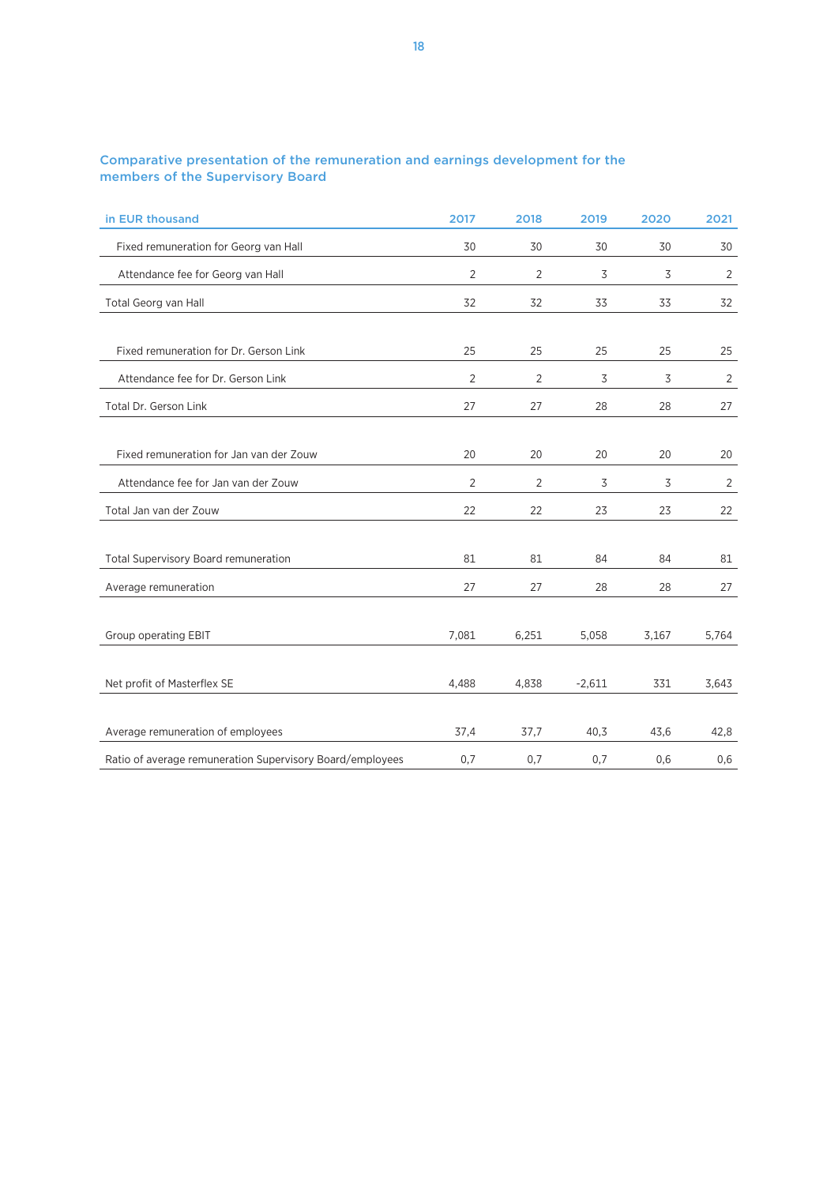| Comparative presentation of the remuneration and earnings development for the |  |  |
|-------------------------------------------------------------------------------|--|--|
| members of the Supervisory Board                                              |  |  |

| in EUR thousand                                           | 2017  | 2018           | 2019     | 2020  | 2021           |
|-----------------------------------------------------------|-------|----------------|----------|-------|----------------|
| Fixed remuneration for Georg van Hall                     | 30    | 30             | 30       | 30    | 30             |
| Attendance fee for Georg van Hall                         | 2     | 2              | 3        | 3     | 2              |
| Total Georg van Hall                                      | 32    | 32             | 33       | 33    | 32             |
| Fixed remuneration for Dr. Gerson Link                    | 25    | 25             | 25       | 25    | 25             |
| Attendance fee for Dr. Gerson Link                        | 2     | 2              | 3        | 3     | 2              |
| Total Dr. Gerson Link                                     | 27    | 27             | 28       | 28    | 27             |
|                                                           |       |                |          |       |                |
| Fixed remuneration for Jan van der Zouw                   | 20    | 20             | 20       | 20    | 20             |
| Attendance fee for Jan van der Zouw                       | 2     | $\overline{2}$ | 3        | 3     | $\overline{2}$ |
| Total Jan van der Zouw                                    | 22    | 22             | 23       | 23    | 22             |
|                                                           |       |                |          |       |                |
| <b>Total Supervisory Board remuneration</b>               | 81    | 81             | 84       | 84    | 81             |
| Average remuneration                                      | 27    | 27             | 28       | 28    | 27             |
|                                                           |       |                |          |       |                |
| Group operating EBIT                                      | 7,081 | 6,251          | 5,058    | 3,167 | 5,764          |
|                                                           |       |                |          |       |                |
| Net profit of Masterflex SE                               | 4,488 | 4,838          | $-2,611$ | 331   | 3,643          |
|                                                           |       |                |          |       |                |
| Average remuneration of employees                         | 37,4  | 37,7           | 40,3     | 43,6  | 42,8           |
| Ratio of average remuneration Supervisory Board/employees | 0,7   | 0,7            | 0,7      | 0,6   | 0,6            |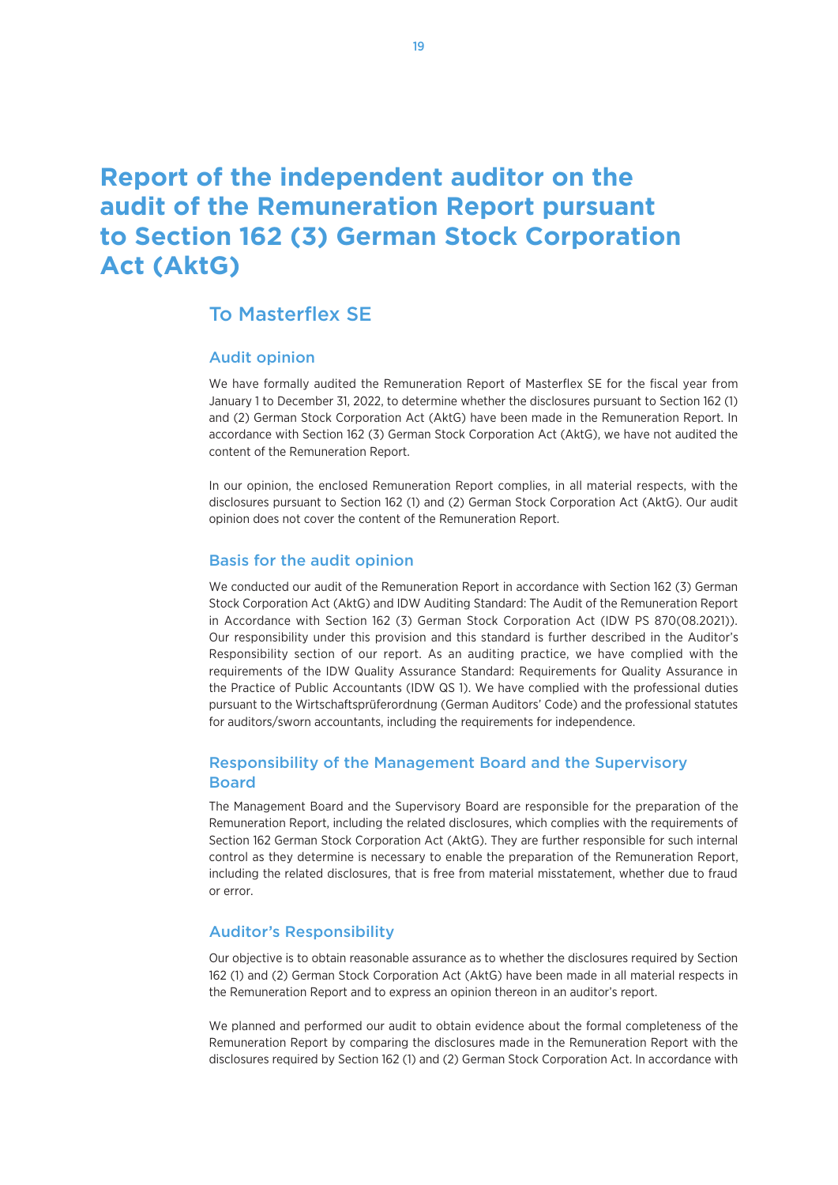# **Report of the independent auditor on the audit of the Remuneration Report pursuant to Section 162 (3) German Stock Corporation Act (AktG)**

# To Masterflex SE

#### Audit opinion

We have formally audited the Remuneration Report of Masterflex SE for the fiscal year from January 1 to December 31, 2022, to determine whether the disclosures pursuant to Section 162 (1) and (2) German Stock Corporation Act (AktG) have been made in the Remuneration Report. In accordance with Section 162 (3) German Stock Corporation Act (AktG), we have not audited the content of the Remuneration Report.

In our opinion, the enclosed Remuneration Report complies, in all material respects, with the disclosures pursuant to Section 162 (1) and (2) German Stock Corporation Act (AktG). Our audit opinion does not cover the content of the Remuneration Report.

#### Basis for the audit opinion

We conducted our audit of the Remuneration Report in accordance with Section 162 (3) German Stock Corporation Act (AktG) and IDW Auditing Standard: The Audit of the Remuneration Report in Accordance with Section 162 (3) German Stock Corporation Act (IDW PS 870(08.2021)). Our responsibility under this provision and this standard is further described in the Auditor's Responsibility section of our report. As an auditing practice, we have complied with the requirements of the IDW Quality Assurance Standard: Requirements for Quality Assurance in the Practice of Public Accountants (IDW QS 1). We have complied with the professional duties pursuant to the Wirtschaftsprüferordnung (German Auditors' Code) and the professional statutes for auditors/sworn accountants, including the requirements for independence.

# Responsibility of the Management Board and the Supervisory Board

The Management Board and the Supervisory Board are responsible for the preparation of the Remuneration Report, including the related disclosures, which complies with the requirements of Section 162 German Stock Corporation Act (AktG). They are further responsible for such internal control as they determine is necessary to enable the preparation of the Remuneration Report, including the related disclosures, that is free from material misstatement, whether due to fraud or error.

#### Auditor's Responsibility

Our objective is to obtain reasonable assurance as to whether the disclosures required by Section 162 (1) and (2) German Stock Corporation Act (AktG) have been made in all material respects in the Remuneration Report and to express an opinion thereon in an auditor's report.

We planned and performed our audit to obtain evidence about the formal completeness of the Remuneration Report by comparing the disclosures made in the Remuneration Report with the disclosures required by Section 162 (1) and (2) German Stock Corporation Act. In accordance with